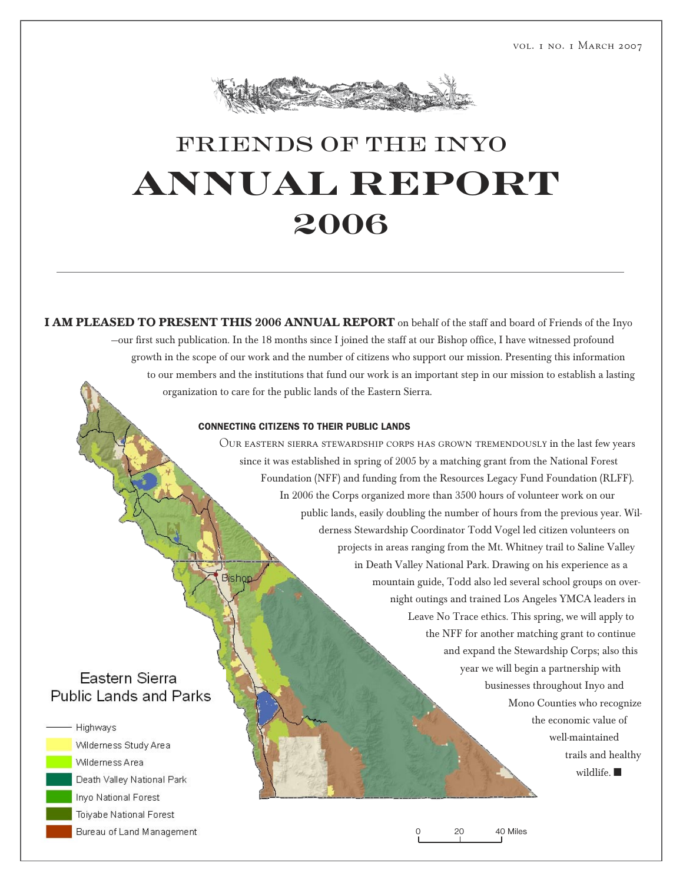

## FRIENDS OF THE INYO  **annual report 2006**

**I AM PLEASED TO PRESENT THIS 2006 ANNUAL REPORT** on behalf of the staff and board of Friends of the Inyo —our first such publication. In the 18 months since I joined the staff at our Bishop office, I have witnessed profound growth in the scope of our work and the number of citizens who support our mission. Presenting this information to our members and the institutions that fund our work is an important step in our mission to establish a lasting organization to care for the public lands of the Eastern Sierra.

#### CONNECTING CITIZENS TO THEIR PUBLIC LANDS

Our eastern sierra stewardship corps has grown tremendously in the last few years since it was established in spring of 2005 by a matching grant from the National Forest Foundation (NFF) and funding from the Resources Legacy Fund Foundation (RLFF). In 2006 the Corps organized more than 3500 hours of volunteer work on our public lands, easily doubling the number of hours from the previous year. Wilderness Stewardship Coordinator Todd Vogel led citizen volunteers on projects in areas ranging from the Mt. Whitney trail to Saline Valley in Death Valley National Park. Drawing on his experience as a Bisho mountain guide, Todd also led several school groups on overnight outings and trained Los Angeles YMCA leaders in Leave No Trace ethics. This spring, we will apply to the NFF for another matching grant to continue and expand the Stewardship Corps; also this year we will begin a partnership with businesses throughout Inyo and Mono Counties who recognize the economic value of well-maintained trails and healthy wildlife. ■

## **Eastern Sierra** Public Lands and Parks



Wilderness Study Area Wilderness Area Death Valley National Park Inyo National Forest Toiyabe National Forest Bureau of Land Management

0 20 40 Miles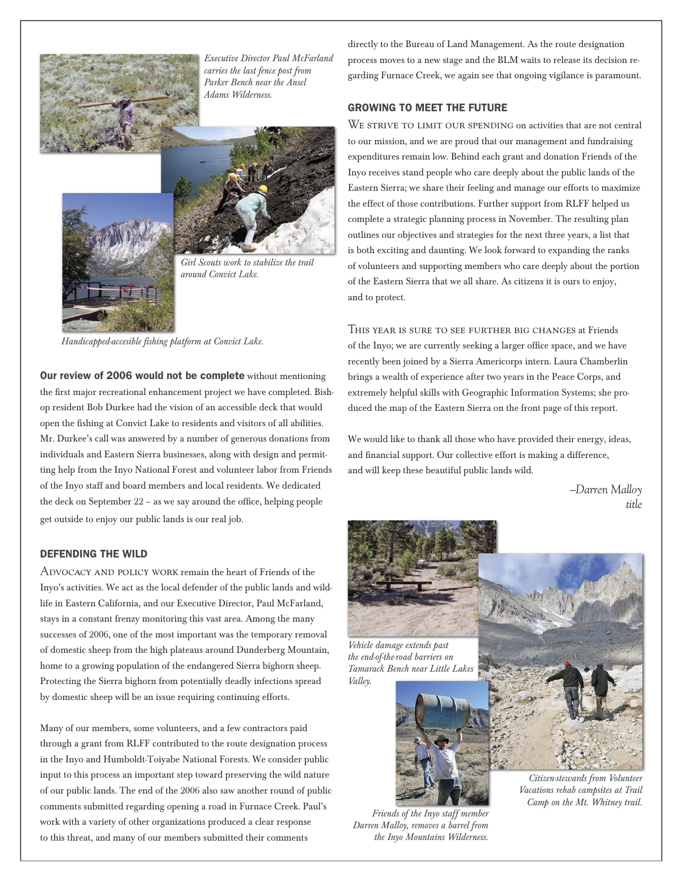

*Executive Director Paul McFarland carries the last fence post from Parker Bench near the Ansel Adams Wilderness.*



*Girl Scouts work to stabilize the trail around Convict Lake.*

*Handicapped-accesible fishing platform at Convict Lake.*

Our review of 2006 would not be complete without mentioning the first major recreational enhancement project we have completed. Bishop resident Bob Durkee had the vision of an accessible deck that would open the fishing at Convict Lake to residents and visitors of all abilities. Mr. Durkee's call was answered by a number of generous donations from individuals and Eastern Sierra businesses, along with design and permitting help from the Inyo National Forest and volunteer labor from Friends of the Inyo staff and board members and local residents. We dedicated the deck on September 22 – as we say around the office, helping people get outside to enjoy our public lands is our real job.

#### DEFENDING THE WILD

Advocacy and policy work remain the heart of Friends of the Inyo's activities. We act as the local defender of the public lands and wildlife in Eastern California, and our Executive Director, Paul McFarland, stays in a constant frenzy monitoring this vast area. Among the many successes of 2006, one of the most important was the temporary removal of domestic sheep from the high plateaus around Dunderberg Mountain, home to a growing population of the endangered Sierra bighorn sheep. Protecting the Sierra bighorn from potentially deadly infections spread by domestic sheep will be an issue requiring continuing efforts.

Many of our members, some volunteers, and a few contractors paid through a grant from RLFF contributed to the route designation process in the Inyo and Humboldt-Toiyabe National Forests. We consider public input to this process an important step toward preserving the wild nature of our public lands. The end of the 2006 also saw another round of public comments submitted regarding opening a road in Furnace Creek. Paul's work with a variety of other organizations produced a clear response to this threat, and many of our members submitted their comments

directly to the Bureau of Land Management. As the route designation process moves to a new stage and the BLM waits to release its decision regarding Furnace Creek, we again see that ongoing vigilance is paramount.

#### GROWING TO MEET THE FUTURE

WE STRIVE TO LIMIT OUR SPENDING on activities that are not central to our mission, and we are proud that our management and fundraising expenditures remain low. Behind each grant and donation Friends of the Inyo receives stand people who care deeply about the public lands of the Eastern Sierra; we share their feeling and manage our efforts to maximize the effect of those contributions. Further support from RLFF helped us complete a strategic planning process in November. The resulting plan outlines our objectives and strategies for the next three years, a list that is both exciting and daunting. We look forward to expanding the ranks of volunteers and supporting members who care deeply about the portion of the Eastern Sierra that we all share. As citizens it is ours to enjoy, and to protect.

This year is sure to see further big changes at Friends of the Inyo; we are currently seeking a larger office space, and we have recently been joined by a Sierra Americorps intern. Laura Chamberlin brings a wealth of experience after two years in the Peace Corps, and extremely helpful skills with Geographic Information Systems; she produced the map of the Eastern Sierra on the front page of this report.

We would like to thank all those who have provided their energy, ideas, and financial support. Our collective effort is making a difference, and will keep these beautiful public lands wild.

> *–Darren Malloy title*



*the end-of-the-road barriers on Tamarack Bench near Little Lakes Valley.*





*Citizen-stewards from Volunteer Vacations rehab campsites at Trail Camp on the Mt. Whitney trail.*

*Friends of the Inyo staff member Darren Malloy, removes a barrel from the Inyo Mountains Wilderness.*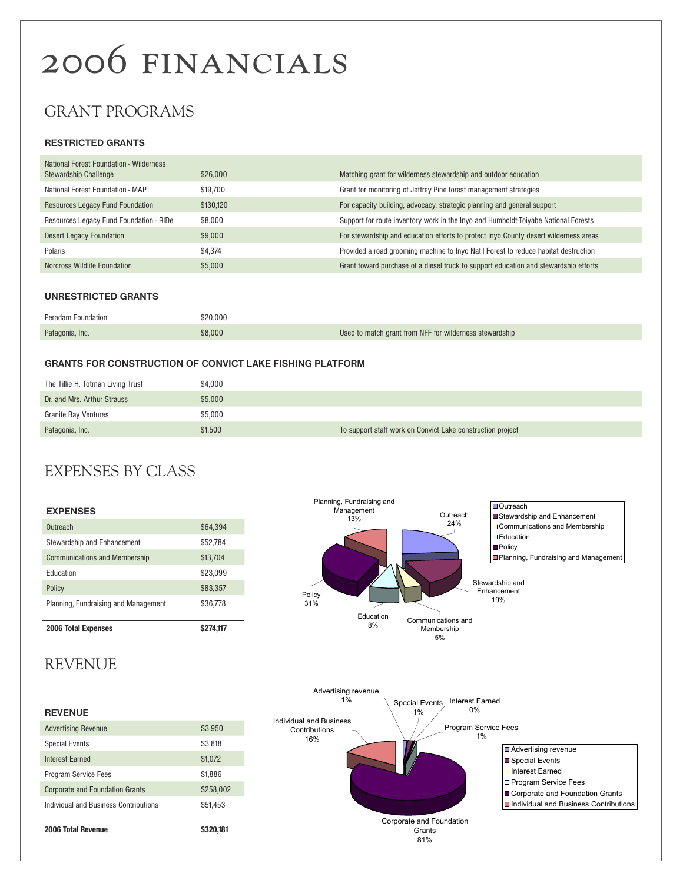# 2006 financials

## GRANT PROGRAMS

#### **RESTRICTED GRANTS**

| <b>National Forest Foundation - Wilderness</b><br>Stewardship Challenge | \$26,000  | Matching grant for wilderness stewardship and outdoor education                      |
|-------------------------------------------------------------------------|-----------|--------------------------------------------------------------------------------------|
| National Forest Foundation - MAP                                        | \$19.700  | Grant for monitoring of Jeffrey Pine forest management strategies                    |
| <b>Resources Legacy Fund Foundation</b>                                 | \$130,120 | For capacity building, advocacy, strategic planning and general support              |
| Resources Legacy Fund Foundation - RIDe                                 | \$8,000   | Support for route inventory work in the Inyo and Humboldt-Toiyabe National Forests   |
| <b>Desert Legacy Foundation</b>                                         | \$9,000   | For stewardship and education efforts to protect Inyo County desert wilderness areas |
| Polaris                                                                 | \$4.374   | Provided a road grooming machine to Inyo Nat'l Forest to reduce habitat destruction  |
| Norcross Wildlife Foundation                                            | \$5,000   | Grant toward purchase of a diesel truck to support education and stewardship efforts |

#### **UNRESTRICTED GRANTS**

| Peradam Foundation | \$20,000 |                                                         |
|--------------------|----------|---------------------------------------------------------|
| Patagonia, Inc.    | \$8,000  | Used to match grant from NFF for wilderness stewardship |

#### **GRANTS FOR CONSTRUCTION OF CONVICT LAKE FISHING PLATFORM**

| The Tillie H. Totman Living Trust | \$4.000 |                                                            |
|-----------------------------------|---------|------------------------------------------------------------|
| Dr. and Mrs. Arthur Strauss       | \$5,000 |                                                            |
| <b>Granite Bay Ventures</b>       | \$5,000 |                                                            |
| Patagonia, Inc.                   | \$1,500 | To support staff work on Convict Lake construction project |

## EXPENSES BY CLASS

| <b>EXPENSES</b>                      |          |
|--------------------------------------|----------|
| Outreach                             | \$64.394 |
| Stewardship and Enhancement          | \$52,784 |
| <b>Communications and Membership</b> | \$13,704 |
| <b>Education</b>                     | \$23,099 |
| Policy                               | \$83,357 |
| Planning, Fundraising and Management | \$36,778 |
| <b>2006 Total Expenses</b>           |          |



## REVENUE

#### **REVENUE**

| 2006 Total Revenue                     | 20.181    |
|----------------------------------------|-----------|
| Individual and Business Contributions  | \$51,453  |
| <b>Corporate and Foundation Grants</b> | \$258.002 |
| <b>Program Service Fees</b>            | \$1,886   |
| <b>Interest Farned</b>                 | \$1,072   |
| <b>Special Events</b>                  | \$3,818   |
| <b>Advertising Revenue</b>             | \$3,950   |
|                                        |           |